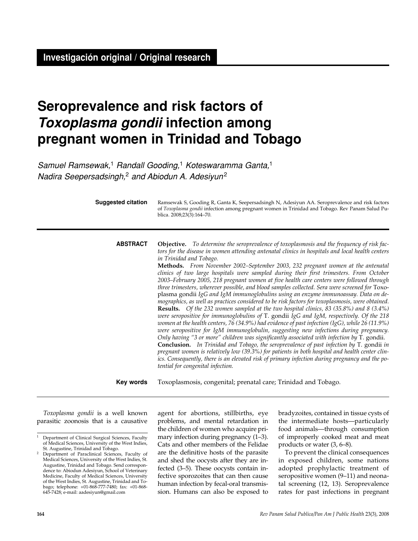# **Seroprevalence and risk factors of Toxoplasma gondii infection among pregnant women in Trinidad and Tobago**

Samuel Ramsewak,<sup>1</sup> Randall Gooding,<sup>1</sup> Koteswaramma Ganta,<sup>1</sup> Nadira Seepersadsingh,<sup>2</sup> and Abiodun A. Adesiyun<sup>2</sup>

**Suggested citation**

Ramsewak S, Gooding R, Ganta K, Seepersadsingh N, Adesiyun AA. Seroprevalence and risk factors of *Toxoplasma gondii* infection among pregnant women in Trinidad and Tobago. Rev Panam Salud Publica. 2008;23(3):164–70.

**Objective.** *To determine the seroprevalence of toxoplasmosis and the frequency of risk factors for the disease in women attending antenatal clinics in hospitals and local health centers in Trinidad and Tobago.*  **ABSTRACT**

**Methods.** *From November 2002–September 2003, 232 pregnant women at the antenatal clinics of two large hospitals were sampled during their first trimesters. From October 2003–February 2005, 218 pregnant women at five health care centers were followed through three trimesters, wherever possible, and blood samples collected. Sera were screened for* Toxoplasma gondii *IgG and IgM immunoglobulins using an enzyme immunoassay. Data on demographics, as well as practices considered to be risk factors for toxoplasmosis, were obtained.*  **Results.** *Of the 232 women sampled at the two hospital clinics, 83 (35.8%) and 8 (3.4%) were seropositive for immunoglobulins of* T. gondii *IgG and IgM, respectively. Of the 218 women at the health centers, 76 (34.9%) had evidence of past infection (IgG), while 26 (11.9%) were seropositive for IgM immunoglobulin, suggesting new infections during pregnancy. Only having "3 or more" children was significantly associated with infection by* T. gondii. **Conclusion.** *In Trinidad and Tobago, the seroprevalence of past infection by* T. gondii *in pregnant women is relatively low (39.3%) for patients in both hospital and health center clinics. Consequently, there is an elevated risk of primary infection during pregnancy and the potential for congenital infection.*

Toxoplasmosis, congenital; prenatal care; Trinidad and Tobago. **Key words**

*Toxoplasma gondii* is a well known parasitic zoonosis that is a causative agent for abortions, stillbirths, eye problems, and mental retardation in the children of women who acquire primary infection during pregnancy (1–3). Cats and other members of the Felidae are the definitive hosts of the parasite and shed the oocysts after they are infected (3–5). These oocysts contain infective sporozoites that can then cause human infection by fecal-oral transmission. Humans can also be exposed to

bradyzoites, contained in tissue cysts of the intermediate hosts—particularly food animals—through consumption of improperly cooked meat and meat products or water (3, 6–8).

To prevent the clinical consequences in exposed children, some nations adopted prophylactic treatment of seropositive women (9–11) and neonatal screening (12, 13). Seroprevalence rates for past infections in pregnant

<sup>&</sup>lt;sup>1</sup> Department of Clinical Surgical Sciences, Faculty of Medical Sciences, University of the West Indies, St. Augustine, Trinidad and Tobago.

Department of Paraclinical Sciences, Faculty of Medical Sciences, University of the West Indies, St. Augustine, Trinidad and Tobago. Send correspondence to: Abiodun Adesiyun, School of Veterinary Medicine, Faculty of Medical Sciences, University of the West Indies, St. Augustine, Trinidad and Tobago; telephone: +01-868-777-7480; fax: +01-868- 645-7428; e-mail: aadesiyun@gmail.com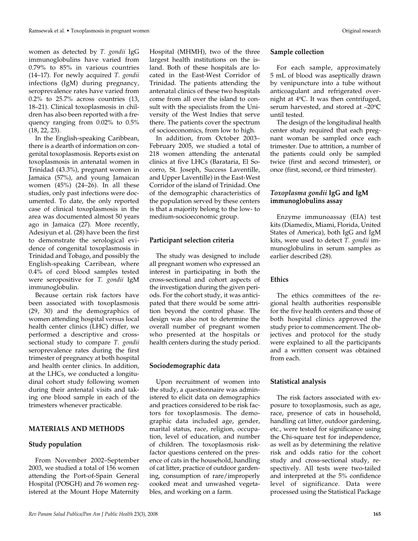women as detected by *T. gondii* IgG immunoglobulins have varied from 0.79% to 85% in various countries (14–17). For newly acquired *T. gondii* infections (IgM) during pregnancy, seroprevalence rates have varied from

0.2% to 25.7% across countries (13, 18–21). Clinical toxoplasmosis in children has also been reported with a frequency ranging from 0.02% to 0.5% (18, 22, 23).

In the English-speaking Caribbean, there is a dearth of information on congenital toxoplasmosis. Reports exist on toxoplasmosis in antenatal women in Trinidad (43.3%), pregnant women in Jamaica (57%), and young Jamaican women (45%) (24–26). In all these studies, only past infections were documented. To date, the only reported case of clinical toxoplasmosis in the area was documented almost 50 years ago in Jamaica (27). More recently, Adesiyun et al. (28) have been the first to demonstrate the serological evidence of congenital toxoplasmosis in Trinidad and Tobago, and possibly the English-speaking Carribean, where 0.4% of cord blood samples tested were seropositive for *T. gondii* IgM immunoglobulin.

Because certain risk factors have been associated with toxoplasmosis (29, 30) and the demographics of women attending hospital versus local health center clinics (LHC) differ, we performed a descriptive and crosssectional study to compare *T. gondii* seroprevalence rates during the first trimester of pregnancy at both hospital and health center clinics. In addition, at the LHCs, we conducted a longitudinal cohort study following women during their antenatal visits and taking one blood sample in each of the trimesters whenever practicable.

## **MATERIALS AND METHODS**

## **Study population**

From November 2002–September 2003, we studied a total of 156 women attending the Port-of-Spain General Hospital (POSGH) and 76 women registered at the Mount Hope Maternity

Hospital (MHMH), two of the three largest health institutions on the island. Both of these hospitals are located in the East-West Corridor of Trinidad. The patients attending the antenatal clinics of these two hospitals come from all over the island to consult with the specialists from the University of the West Indies that serve there. The patients cover the spectrum of socioeconomics, from low to high.

In addition, from October 2003– February 2005, we studied a total of 218 women attending the antenatal clinics at five LHCs (Barataria, El Socorro, St. Joseph, Success Laventille, and Upper Laventille) in the East-West Corridor of the island of Trinidad. One of the demographic characteristics of the population served by these centers is that a majority belong to the low- to medium-socioeconomic group.

## **Participant selection criteria**

The study was designed to include all pregnant women who expressed an interest in participating in both the cross-sectional and cohort aspects of the investigation during the given periods. For the cohort study, it was anticipated that there would be some attrition beyond the control phase. The design was also not to determine the overall number of pregnant women who presented at the hospitals or health centers during the study period.

## **Sociodemographic data**

Upon recruitment of women into the study, a questionnaire was administered to elicit data on demographics and practices considered to be risk factors for toxoplasmosis. The demographic data included age, gender, marital status, race, religion, occupation, level of education, and number of children. The toxoplasmosis riskfactor questions centered on the presence of cats in the household, handling of cat litter, practice of outdoor gardening, consumption of rare/improperly cooked meat and unwashed vegetables, and working on a farm.

#### **Sample collection**

For each sample, approximately 5 mL of blood was aseptically drawn by venipuncture into a tube without anticoagulant and refrigerated overnight at  $4^{\circ}$ C. It was then centrifuged, serum harvested, and stored at  $-20^{\circ}$ C until tested.

The design of the longitudinal health center study required that each pregnant woman be sampled once each trimester. Due to attrition, a number of the patients could only be sampled twice (first and second trimester), or once (first, second, or third trimester).

## *Toxoplasma gondii* **IgG and IgM immunoglobulins assay**

Enzyme immunoassay (EIA) test kits (Diamedix, Miami, Florida, United States of America), both IgG and IgM kits, were used to detect *T. gondii* immunoglobulins in serum samples as earlier described (28).

#### **Ethics**

The ethics committees of the regional health authorities responsible for the five health centers and those of both hospital clinics approved the study prior to commencement. The objectives and protocol for the study were explained to all the participants and a written consent was obtained from each.

#### **Statistical analysis**

The risk factors associated with exposure to toxoplasmosis, such as age, race, presence of cats in household, handling cat litter, outdoor gardening, etc., were tested for significance using the Chi-square test for independence, as well as by determining the relative risk and odds ratio for the cohort study and cross-sectional study, respectively. All tests were two-tailed and interpreted at the 5% confidence level of significance. Data were processed using the Statistical Package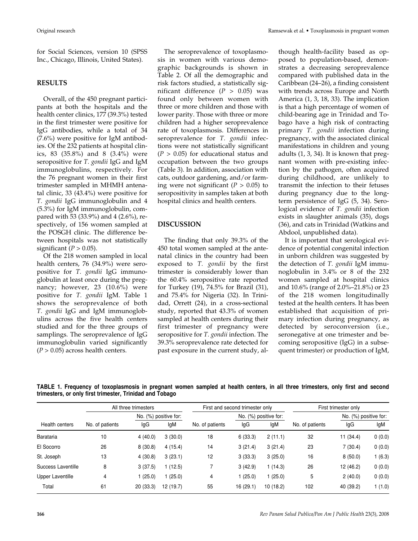for Social Sciences, version 10 (SPSS Inc., Chicago, Illinois, United States).

## **RESULTS**

Overall, of the 450 pregnant participants at both the hospitals and the health center clinics, 177 (39.3%) tested in the first trimester were positive for IgG antibodies, while a total of 34 (7.6%) were positive for IgM antibodies. Of the 232 patients at hospital clinics, 83 (35.8%) and 8 (3.4%) were seropositive for *T. gondii* IgG and IgM immunoglobulins, respectively. For the 76 pregnant women in their first trimester sampled in MHMH antenatal clinic, 33 (43.4%) were positive for *T. gondii* IgG immunoglobulin and 4 (5.3%) for IgM immunoglobulin, compared with 53 (33.9%) and 4 (2.6%), respectively, of 156 women sampled at the POSGH clinic. The difference between hospitals was not statistically significant  $(P > 0.05)$ .

Of the 218 women sampled in local health centers, 76 (34.9%) were seropositive for *T. gondii* IgG immunoglobulin at least once during the pregnancy; however, 23 (10.6%) were positive for *T. gondii* IgM. Table 1 shows the seroprevalence of both *T. gondii* IgG and IgM immunoglobulins across the five health centers studied and for the three groups of samplings. The seroprevalence of IgG immunoglobulin varied significantly  $(P > 0.05)$  across health centers.

The seroprevalence of toxoplasmosis in women with various demographic backgrounds is shown in Table 2. Of all the demographic and risk factors studied, a statistically significant difference (*P* > 0.05) was found only between women with three or more children and those with lower parity. Those with three or more children had a higher seroprevalence rate of toxoplasmosis. Differences in seroprevalence for *T. gondii* infections were not statistically significant  $(P > 0.05)$  for educational status and occupation between the two groups (Table 3). In addition, association with cats, outdoor gardening, and/or farming were not significant  $(P > 0.05)$  to seropositivity in samples taken at both hospital clinics and health centers.

## **DISCUSSION**

The finding that only 39.3% of the 450 total women sampled at the antenatal clinics in the country had been exposed to *T. gondii* by the first trimester is considerably lower than the 60.4% seropositive rate reported for Turkey (19), 74.5% for Brazil (31), and 75.4% for Nigeria (32). In Trinidad, Orrett (24), in a cross-sectional study, reported that 43.3% of women sampled at health centers during their first trimester of pregnancy were seropositive for *T. gondii* infection. The 39.3% seroprevalence rate detected for past exposure in the current study, although health-facility based as opposed to population-based, demonstrates a decreasing seroprevalence compared with published data in the Caribbean (24–26), a finding consistent with trends across Europe and North America (1, 3, 18, 33). The implication is that a high percentage of women of child-bearing age in Trinidad and Tobago have a high risk of contracting primary *T. gondii* infection during pregnancy, with the associated clinical manifestations in children and young adults (1, 3, 34). It is known that pregnant women with pre-existing infection by the pathogen, often acquired during childhood, are unlikely to transmit the infection to their fetuses during pregnancy due to the longterm persistence of IgG (5, 34). Serological evidence of *T. gondii* infection exists in slaughter animals (35), dogs (36), and cats in Trinidad (Watkins and Abdool, unpublished data).

It is important that serological evidence of potential congenital infection in unborn children was suggested by the detection of *T. gondii* IgM immunoglobulin in 3.4% or 8 of the 232 women sampled at hospital clinics and 10.6% (range of 2.0%–21.8%) or 23 of the 218 women longitudinally tested at the health centers. It has been established that acquisition of primary infection during pregnancy, as detected by seroconversion (i.e., seronegative at one trimester and becoming seropositive (IgG) in a subsequent trimester) or production of IgM,

**TABLE 1. Frequency of toxoplasmosis in pregnant women sampled at health centers, in all three trimesters, only first and second trimesters, or only first trimester, Trinidad and Tobago**

| Health centers     | All three trimesters |                       |           | First and second trimester only |                       |          | First trimester only |                       |        |
|--------------------|----------------------|-----------------------|-----------|---------------------------------|-----------------------|----------|----------------------|-----------------------|--------|
|                    |                      | No. (%) positive for: |           |                                 | No. (%) positive for: |          |                      | No. (%) positive for: |        |
|                    | No. of patients      | lgG                   | lgM       | No. of patients                 | lgG                   | lgM      | No. of patients      | lgG                   | lgM    |
| Barataria          | 10                   | 4(40.0)               | 3(30.0)   | 18                              | 6(33.3)               | 2(11.1)  | 32                   | 11 (34.4)             | 0(0.0) |
| El Socorro         | 26                   | 8(30.8)               | 4(15.4)   | 14                              | 3(21.4)               | 3(21.4)  | 23                   | 7(30.4)               | 0(0.0) |
| St. Joseph         | 13                   | 4(30.8)               | 3(23.1)   | 12                              | 3(33.3)               | 3(25.0)  | 16                   | 8(50.0)               | (6.3)  |
| Success Laventille | 8                    | 3(37.5)               | (12.5)    |                                 | 3(42.9)               | 1(14.3)  | 26                   | 12 (46.2)             | 0(0.0) |
| Upper Laventille   | 4                    | 1(25.0)               | (25.0)    | 4                               | 1(25.0)               | (25.0)   | 5                    | 2(40.0)               | 0(0.0) |
| Total              | 61                   | 20(33.3)              | 12 (19.7) | 55                              | 16(29.1)              | 10(18.2) | 102                  | 40 (39.2)             | 1(1.0) |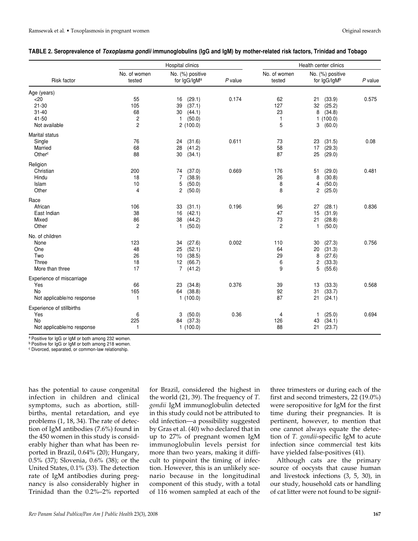| TABLE 2. Seroprevalence of <i>Toxoplasma gondii</i> immunoglobulins (IgG and IgM) by mother-related risk factors, Trinidad and Tobago |  |  |  |  |  |
|---------------------------------------------------------------------------------------------------------------------------------------|--|--|--|--|--|
|---------------------------------------------------------------------------------------------------------------------------------------|--|--|--|--|--|

|                                                                           |                                                     | Hospital clinics                                                                         | Health center clinics |                                  |                                                                           |           |
|---------------------------------------------------------------------------|-----------------------------------------------------|------------------------------------------------------------------------------------------|-----------------------|----------------------------------|---------------------------------------------------------------------------|-----------|
| Risk factor                                                               | No. of women<br>tested                              | No. (%) positive<br>for IgG/IgMa                                                         | $P$ value             | No. of women<br>tested           | No. (%) positive<br>for IgG/IgMb                                          | $P$ value |
| Age (years)<br>$<$ 20<br>$21 - 30$<br>$31 - 40$<br>41-50<br>Not available | 55<br>105<br>68<br>$\overline{c}$<br>$\overline{c}$ | (29.1)<br>16<br>39<br>(37.1)<br>30<br>(44.1)<br>$\mathbf{1}$<br>(50.0)<br>2(100.0)       | 0.174                 | 62<br>127<br>23<br>1<br>5        | 21<br>(33.9)<br>32<br>(25.2)<br>8<br>(34.8)<br>1(100.0)<br>(60.0)<br>3    | 0.575     |
| Marital status<br>Single<br>Married<br>Other <sup>c</sup>                 | 76<br>68<br>88                                      | (31.6)<br>24<br>28<br>(41.2)<br>30<br>(34.1)                                             | 0.611                 | 73<br>58<br>87                   | (31.5)<br>23<br>17<br>(29.3)<br>25<br>(29.0)                              | 0.08      |
| Religion<br>Christian<br>Hindu<br>Islam<br>Other                          | 200<br>18<br>10<br>4                                | (37.0)<br>74<br>7<br>(38.9)<br>5<br>(50.0)<br>2<br>(50.0)                                | 0.669                 | 176<br>26<br>8<br>8              | (29.0)<br>51<br>8<br>(30.8)<br>4<br>(50.0)<br>(25.0)<br>2                 | 0.481     |
| Race<br>African<br>East Indian<br>Mixed<br>Other                          | 106<br>38<br>86<br>$\overline{c}$                   | (31.1)<br>33<br>(42.1)<br>16<br>38<br>(44.2)<br>$\mathbf{1}$<br>(50.0)                   | 0.196                 | 96<br>47<br>73<br>$\overline{c}$ | (28.1)<br>27<br>15<br>(31.9)<br>21<br>(28.8)<br>1<br>(50.0)               | 0.836     |
| No. of children<br>None<br>One<br>Two<br>Three<br>More than three         | 123<br>48<br>26<br>18<br>17                         | (27.6)<br>34<br>(52.1)<br>25<br>(38.5)<br>10<br>12<br>(66.7)<br>$\overline{7}$<br>(41.2) | 0.002                 | 110<br>64<br>29<br>6<br>9        | (27.3)<br>30<br>20<br>(31.3)<br>8<br>(27.6)<br>2<br>(33.3)<br>5<br>(55.6) | 0.756     |
| Experience of miscarriage<br>Yes<br>No<br>Not applicable/no response      | 66<br>165<br>$\mathbf{1}$                           | 23<br>(34.8)<br>(38.8)<br>64<br>1(100.0)                                                 | 0.376                 | 39<br>92<br>87                   | 13<br>(33.3)<br>31<br>(33.7)<br>21<br>(24.1)                              | 0.568     |
| Experience of stillbirths<br>Yes<br>No<br>Not applicable/no response      | 6<br>225<br>$\mathbf{1}$                            | (50.0)<br>3<br>(37.3)<br>84<br>1(100.0)                                                  | 0.36                  | 4<br>126<br>88                   | (25.0)<br>1<br>(34.1)<br>43<br>21<br>(23.7)                               | 0.694     |

a Positive for IgG or IgM or both among 232 women.

<sup>b</sup> Positive for IgG or IgM or both among 218 women.

<sup>c</sup> Divorced, separated, or common-law relationship.

has the potential to cause congenital infection in children and clinical symptoms, such as abortion, stillbirths, mental retardation, and eye problems (1, 18, 34). The rate of detection of IgM antibodies (7.6%) found in the 450 women in this study is considerably higher than what has been reported in Brazil, 0.64% (20); Hungary, 0.5% (37); Slovenia, 0.6% (38); or the United States, 0.1% (33). The detection rate of IgM antibodies during pregnancy is also considerably higher in Trinidad than the 0.2%–2% reported

for Brazil, considered the highest in the world (21, 39). The frequency of *T. gondii* IgM immunoglobulin detected in this study could not be attributed to old infection—a possibility suggested by Gras et al. (40) who declared that in up to 27% of pregnant women IgM immunoglobulin levels persist for more than two years, making it difficult to pinpoint the timing of infection. However, this is an unlikely scenario because in the longitudinal component of this study, with a total of 116 women sampled at each of the

three trimesters or during each of the first and second trimesters, 22 (19.0%) were seropositive for IgM for the first time during their pregnancies. It is pertinent, however, to mention that one cannot always equate the detection of *T. gondii*-specific IgM to acute infection since commercial test kits have yielded false-positives (41).

Although cats are the primary source of oocysts that cause human and livestock infections (3, 5, 30), in our study, household cats or handling of cat litter were not found to be signif-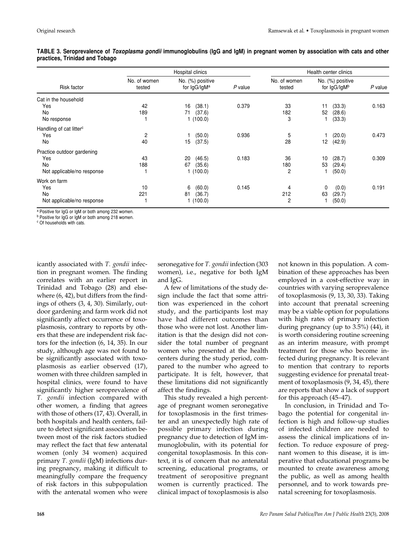|                                     |                        | Hospital clinics                 | Health center clinics |                        |                                  |         |
|-------------------------------------|------------------------|----------------------------------|-----------------------|------------------------|----------------------------------|---------|
| Risk factor                         | No. of women<br>tested | No. (%) positive<br>for IgG/IgMa | P value               | No. of women<br>tested | No. (%) positive<br>for IgG/IgMb | P value |
| Cat in the household                |                        |                                  |                       |                        |                                  |         |
| Yes                                 | 42                     | (38.1)<br>16                     | 0.379                 | 33                     | (33.3)<br>11                     | 0.163   |
| No                                  | 189                    | (37.6)<br>71                     |                       | 182                    | 52<br>(28.6)                     |         |
| No response                         |                        | 1(100.0)                         |                       | 3                      | (33.3)                           |         |
| Handling of cat litter <sup>c</sup> |                        |                                  |                       |                        |                                  |         |
| Yes                                 | 2                      | (50.0)                           | 0.936                 | 5                      | (20.0)                           | 0.473   |
| No                                  | 40                     | 15<br>(37.5)                     |                       | 28                     | (42.9)<br>12                     |         |
| Practice outdoor gardening          |                        |                                  |                       |                        |                                  |         |
| Yes                                 | 43                     | (46.5)<br>20                     | 0.183                 | 36                     | (28.7)<br>10                     | 0.309   |
| No                                  | 188                    | 67<br>(35.6)                     |                       | 180                    | 53<br>(29.4)                     |         |
| Not applicable/no response          |                        | 1(100.0)                         |                       | 2                      | (50.0)                           |         |
| Work on farm                        |                        |                                  |                       |                        |                                  |         |
| Yes                                 | 10                     | 6<br>(60.0)                      | 0.145                 | 4                      | 0<br>(0.0)                       | 0.191   |
| No                                  | 221                    | (36.7)<br>81                     |                       | 212                    | 63<br>(29.7)                     |         |
| Not applicable/no response          |                        | 1(100.0)                         |                       | 2                      | (50.0)                           |         |

**TABLE 3. Seroprevalence of Toxoplasma gondii immunoglobulins (IgG and IgM) in pregnant women by association with cats and other practices, Trinidad and Tobago**

<sup>a</sup> Positive for IgG or IgM or both among 232 women.

<sup>b</sup> Positive for IgG or IgM or both among 218 women.

<sup>c</sup> Of households with cats.

icantly associated with *T. gondii* infection in pregnant women. The finding correlates with an earlier report in Trinidad and Tobago (28) and elsewhere (6, 42), but differs from the findings of others (3, 4, 30). Similarly, outdoor gardening and farm work did not significantly affect occurrence of toxoplasmosis, contrary to reports by others that these are independent risk factors for the infection (6, 14, 35). In our study, although age was not found to be significantly associated with toxoplasmosis as earlier observed (17), women with three children sampled in hospital clinics, were found to have significantly higher seroprevalence of *T. gondii* infection compared with other women, a finding that agrees with those of others (17, 43). Overall, in both hospitals and health centers, failure to detect significant association between most of the risk factors studied may reflect the fact that few antenatal women (only 34 women) acquired primary *T. gondii* (IgM) infections during pregnancy, making it difficult to meaningfully compare the frequency of risk factors in this subpopulation with the antenatal women who were

seronegative for *T. gondii* infection (303 women), i.e., negative for both IgM and IgG.

A few of limitations of the study design include the fact that some attrition was experienced in the cohort study, and the participants lost may have had different outcomes than those who were not lost. Another limitation is that the design did not consider the total number of pregnant women who presented at the health centers during the study period, compared to the number who agreed to participate. It is felt, however, that these limitations did not significantly affect the findings.

This study revealed a high percentage of pregnant women seronegative for toxoplasmosis in the first trimester and an unexpectedly high rate of possible primary infection during pregnancy due to detection of IgM immunoglobulin, with its potential for congenital toxoplasmosis. In this context, it is of concern that no antenatal screening, educational programs, or treatment of seropositive pregnant women is currently practiced. The clinical impact of toxoplasmosis is also

not known in this population. A combination of these approaches has been employed in a cost-effective way in countries with varying seroprevalence of toxoplasmosis (9, 13, 30, 33). Taking into account that prenatal screening may be a viable option for populations with high rates of primary infection during pregnancy (up to 3.5%) (44), it is worth considering routine screening as an interim measure, with prompt treatment for those who become infected during pregnancy. It is relevant to mention that contrary to reports suggesting evidence for prenatal treatment of toxoplasmosis (9, 34, 45), there are reports that show a lack of support for this approach (45–47).

In conclusion, in Trinidad and Tobago the potential for congenital infection is high and follow-up studies of infected children are needed to assess the clinical implications of infection. To reduce exposure of pregnant women to this disease, it is imperative that educational programs be mounted to create awareness among the public, as well as among health personnel, and to work towards prenatal screening for toxoplasmosis.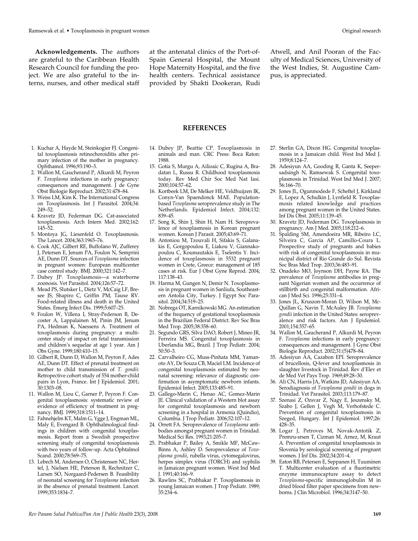**Acknowledgements.** The authors are grateful to the Caribbean Health Research Council for funding the project. We are also grateful to the interns, nurses, and other medical staff at the antenatal clinics of the Port-of-Spain General Hospital, the Mount Hope Maternity Hospital, and the five health centers. Technical assistance provided by Shakti Dookeran, Rudi Atwell, and Anil Pooran of the Faculty of Medical Sciences, University of the West Indies, St. Augustine Campus, is appreciated.

#### **REFERENCES**

- 1. Kuchar A, Hayde M, Steinkogier FJ. Congenital toxoplasmosis retinochoroiditis after primary infection of the mother in pregnancy. Ophthamol. 1996;93:190–3.
- 2. Wallon M, Gaucherand P, Alkurdi M, Peyron F. *Toxoplasma* infections in early pregnancy: consequences and management. J de Gyne Obst Biologie Reproduct. 2002;31:478–84.
- 3. Weiss LM, Kim K. The International Congress on Toxoplasmosis. Int J Parasitol. 2004;34: 249–52.
- 4. Kravetz JD, Federman DG. Cat-associated toxoplasmosis. Arch Intern Med. 2002;162: 145–52.
- 5. Montoya JG, Liesenfeld O. Toxoplasmosis. The Lancet. 2004;363:1965–76.
- 6. Cook AJC, Gilbert RE, Buffolano W, Zufferey J, Petersen E, Jenum PA, Foulon N, Semprini AE, Dunn DT. Sources of *Toxoplasma* infection in pregnant women: European multicenter case control study. BMJ. 2000;321:142–7.
- 7. Dubey JP. Toxoplasmosis—a waterborne zoonosis. Vet Parasitol. 2004;126:57–72.
- 8. Mead PS, Slutsker L, Dietz V, McCaig LF, Bresee JS, Shapiro C, Griffin PM, Tauxe RV. Food-related illness and death in the United States. Emerg Infect Dis. 1999;5:607–25.
- 9. Foulon W, Villena I, Stray-Pederson B, Decoster A, Lappalainen M, Pinin JM, Jenum PA, Hedman K, Naessens A. Treatment of toxoplasmosis during pregnancy: a multicenter study of impact on fetal transmission and children's sequelae at age 1 year. Am J Obs Gyne. 1999;180:410–15.
- 10. Gilbert R, Dunn D, Wallon M, Peyron F, Ades AE, Dunn DT. Effect of prenatal treatment on mother to child transmission of *T. gondii:* Retropective cohort study of 554 mother-child pairs in Lyon, France. Int J Epidemiol. 2001; 30:1303–08.
- 11. Wallon M, Liou C, Garner P, Peyron F. Congenital toxoplasmosis: systematic review of evidence of efficiency of treatment in pregnancy. BMJ. 1999;318:1511–14.
- 12. Fahnehjelm KT, Malm G, Ygge J, Engman ML, Maly E, Evengard B. Ophthalmological findings in children with congenital toxoplasmosis. Report from a Swedish prospective screening study of congenital toxoplasmosis with two years of follow-up. Acta Ophtalmol Scand. 2000;78:569–75.
- 13. Lebech M, Andersen O, Christensen NC, Hertel, J, Nielsen HE, Peterson B, Rechnitzer C, Larsen SO, Norgaard-Pedersen B. Feasibility of neonatal screening for *Toxoplasma* infection in the absence of prenatal treatment. Lancet. 1999;353:1834–7.
- 14. Dubey JP, Beattie CP. Toxoplasmosis in animals and man. CRC Press: Boca Raton: 1988.
- 15. Gotia S, Murgu A, Ailioaic C, Rugina A, Bradatan L, Russu R. Childhood toxoplasmosis today. Rev Med Chir Soc Med Nat Iasi. 2000;104:57–62.
- 16. Kortbeek LM, De Melker HE, Veldhuijzen IK, Conyn-Van Spaendonck MAE. Populationbased *Toxoplasma* seroprevalence study in The Netherlands. Epidemiol Infect. 2004;132: 839–45.
- 17. Song K, Shin J, Shin H, Nam H. Seroprevalence of toxoplasmosis in Korean pregnant women. Korean J Parasit. 2005;43:69–71.
- 18. Antoniou M, Tzouvali H, Sifakis S, Galanakis E, Gorgopoulou E, Liakou V, Giannakopoulou C, Koumautakis E, Tselentis Y. Incidence of toxoplasmosis in 5532 pregnant women in Crete, Greece: management of 185 cases at risk. Eur J Obst Gyne Reprod. 2004; 117:138–43.
- 19. Harma M, Gungen N, Demir N. Toxoplasmosis in pregnant women in Sanliufa, Southeastern Antolia City, Turkey. J Egypt Soc Parasitol. 2004;34:519–25.
- 20. Nobrega OT, Karnikowski MG. An estimation of the frequency of gestational toxoplasmosis in the Brazilian Federal District. Rev Soc Bras Med Trop. 2005;38:358–60.
- 21. Segundo GRS, Silva DAO, Robert J, Mineo JR, Ferreira MS. Congenital toxoplasmosis in Uberlandia MG, Brazil. J Trop Pediatr. 2004; 50:50–3.
- 22. Carvalheiro CG, Muss-Pinhata MM, Yamanoto AY, De Souza CB, Maciel LM. Incidence of congenital toxoplasmosis estimated by neonatal screening: relevance of diagnostic confirmation in asymptomatic newborn infants. Epidemiol Infect. 2005;133:485–91.
- 23. Gallego-Marin C, Henao AC, Gomez-Marin JE. Clinical validation of a Western blot assay for congenital toxoplasmosis and newborn screening in a hospital in Armenia (Quindio), Columbia. J Trop Pediatr. 2006;52:107–12.
- 24. Orrett FA. Seroprevalence of *Toxoplasma* antibodies amongst pregnant women in Trinidad. Medical Sci Res. 1993;21:205–7.
- 25. Prabhakar P, Bailey A, Smikle MF, McCaw-Binns A, Ashley D. Seroprevalence of *Toxoplasma gondii*, rubella virus, cytomegalovirus, herpes simplex virus (TORCH) and syphilis in Jamaican pregnant women. West Ind Med J. 1991;40:166–9.
- 26. Rawlins SC, Prabhakar P. Toxoplasmosis in young Jamaican women. J Trop Pediatr. 1989; 35:234–6.
- 27. Sterlin GA, Dixon HG. Congenital toxoplasmosis in a Jamaican child. West Ind Med J. 1959;8:124–7.
- 28. Adesiyun AA, Gooding R, Ganta K, Seepersadsingh N, Ramsewak S. Congenital toxoplasmosis in Trinidad. West Ind Med J. 2007; 56:166–70.
- 29. Jones JL, Ogunmodede F, Scheftel J, Kirkland E, Lopez A, Schulkin J, Lynfield R. Toxoplasmosis related knowledge and practices among pregnant women in the United States. Inf Dis Obst. 2005;11:139–45.
- 30. Kravetz JD, Federman DG. Toxoplasmosis in pregnancy. Am J Med. 2005;118:212–6.
- 31. Spalding SM, Amendoeira MR, Ribeiro LC, Silveira C, Garcia AP, Camillo-Coura L. Prospective study of pregnants and babies with risk of congenital toxoplasmosis in municipal district of Rio Grande do Sul. Revista Soc Bras Med Trop. 2003;36:483–91.
- 32. Onadeko MO, Joynson DH, Payne RA. The prevalence of *Toxoplasma* antibodies in pregnant Nigerian women and the occurrence of stillbirth and congenital malformation. African J Med Sci. 1996;25:331–4.
- 33. Jones JL, Kruszon-Moran D, Wilson M, Mc-Quillan G, Navin T, McAuley JB. *Toxoplasma gondii* infection in the United States: seroprevalence and risk factors. Am J Epidemiol. 2001;154:357–65.
- 34. Wallon M, Gaucherand P, Alkurdi M, Peyron F. *Toxoplasma* infections in early pregnancy: consequences and management. J Gyne Obst Biologie Reproduct. 2002;31:(5)478–84.
- 35. Adesiyun AA, Cazabon EPI. Seroprevalence of brucellosis, Q-fever and toxoplasmosis in slaughter livestock in Trinidad. Rev d'Elev et de Med Vet Pays Trop. 1969;49:28–30.
- 36. Ali CN, Harris JA, Watkins JD, Adesiyun AA. Serodiagnosis of *Toxoplasma gondii* in dogs in Trinidad. Vet Parasitol. 2003;113:179–87.
- 37. Szenasi Z, Ozsvar Z, Nagy E, Jeszensky M, Szabo J, Gellen J, Vegh M, Verhofstede C. Prevention of congenital toxoplasmosis in Szeged, Hungary. Int J Epidemiol. 1997;26: 428–35.
- 38. Logar J, Petroves M, Novak-Antotik Z, Premru-srsen T, Cizman M, Arnez, M, Kraut A. Prevention of congenital toxoplasmosis in Slovenia by serological screening of pregnant women. J Inf Dis. 2002;34:201–4.
- 39. Eaton RB, Petersen E, Seppanen H, Tuuminen T. Multicenter evaluation of a fluorimetric enzyme immunocapture assay to detect *Toxoplasma*-specific immunoglobulin M in dried blood filter paper specimens from newborns. J Clin Microbiol. 1996;34:3147–50.